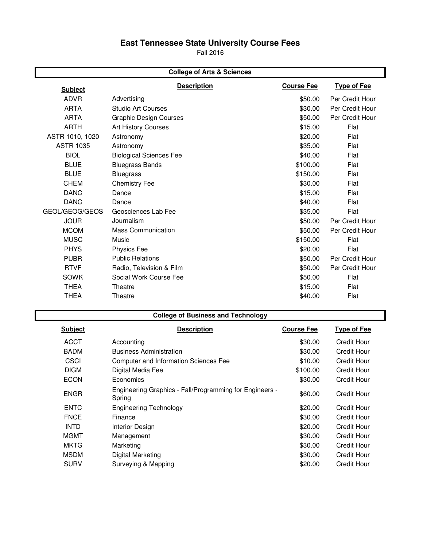# **East Tennessee State University Course Fees**

Fall 2016

| <b>College of Arts &amp; Sciences</b> |                                |                   |                    |  |
|---------------------------------------|--------------------------------|-------------------|--------------------|--|
| <b>Subject</b>                        | <b>Description</b>             | <b>Course Fee</b> | <b>Type of Fee</b> |  |
| <b>ADVR</b>                           | Advertising                    | \$50.00           | Per Credit Hour    |  |
| <b>ARTA</b>                           | Studio Art Courses             | \$30.00           | Per Credit Hour    |  |
| <b>ARTA</b>                           | <b>Graphic Design Courses</b>  | \$50.00           | Per Credit Hour    |  |
| <b>ARTH</b>                           | <b>Art History Courses</b>     | \$15.00           | Flat               |  |
| ASTR 1010, 1020                       | Astronomy                      | \$20.00           | Flat               |  |
| <b>ASTR 1035</b>                      | Astronomy                      | \$35.00           | Flat               |  |
| <b>BIOL</b>                           | <b>Biological Sciences Fee</b> | \$40.00           | Flat               |  |
| <b>BLUE</b>                           | <b>Bluegrass Bands</b>         | \$100.00          | Flat               |  |
| <b>BLUE</b>                           | <b>Bluegrass</b>               | \$150.00          | Flat               |  |
| <b>CHEM</b>                           | <b>Chemistry Fee</b>           | \$30.00           | Flat               |  |
| <b>DANC</b>                           | Dance                          | \$15.00           | Flat               |  |
| <b>DANC</b>                           | Dance                          | \$40.00           | Flat               |  |
| GEOL/GEOG/GEOS                        | Geosciences Lab Fee            | \$35.00           | Flat               |  |
| <b>JOUR</b>                           | Journalism                     | \$50.00           | Per Credit Hour    |  |
| <b>MCOM</b>                           | <b>Mass Communication</b>      | \$50.00           | Per Credit Hour    |  |
| <b>MUSC</b>                           | Music                          | \$150.00          | Flat               |  |
| <b>PHYS</b>                           | <b>Physics Fee</b>             | \$20.00           | Flat               |  |
| <b>PUBR</b>                           | <b>Public Relations</b>        | \$50.00           | Per Credit Hour    |  |
| <b>RTVF</b>                           | Radio, Television & Film       | \$50.00           | Per Credit Hour    |  |
| <b>SOWK</b>                           | Social Work Course Fee         | \$50.00           | Flat               |  |
| <b>THEA</b>                           | Theatre                        | \$15.00           | Flat               |  |
| <b>THEA</b>                           | Theatre                        | \$40.00           | Flat               |  |

## **College of Business and Technology**

| <b>Subject</b> | <b>Description</b>                                                | <b>Course Fee</b> | <b>Type of Fee</b> |
|----------------|-------------------------------------------------------------------|-------------------|--------------------|
| <b>ACCT</b>    | Accounting                                                        | \$30.00           | Credit Hour        |
| <b>BADM</b>    | <b>Business Administration</b>                                    | \$30.00           | Credit Hour        |
| <b>CSCI</b>    | Computer and Information Sciences Fee                             | \$10.00           | Credit Hour        |
| <b>DIGM</b>    | Digital Media Fee                                                 | \$100.00          | Credit Hour        |
| <b>ECON</b>    | Economics                                                         | \$30.00           | Credit Hour        |
| <b>ENGR</b>    | Engineering Graphics - Fall/Programming for Engineers -<br>Spring | \$60.00           | Credit Hour        |
| <b>ENTC</b>    | <b>Engineering Technology</b>                                     | \$20.00           | Credit Hour        |
| <b>FNCE</b>    | Finance                                                           | \$30.00           | Credit Hour        |
| <b>INTD</b>    | Interior Design                                                   | \$20.00           | Credit Hour        |
| <b>MGMT</b>    | Management                                                        | \$30.00           | Credit Hour        |
| <b>MKTG</b>    | Marketing                                                         | \$30.00           | Credit Hour        |
| <b>MSDM</b>    | Digital Marketing                                                 | \$30.00           | Credit Hour        |
| <b>SURV</b>    | Surveying & Mapping                                               | \$20.00           | <b>Credit Hour</b> |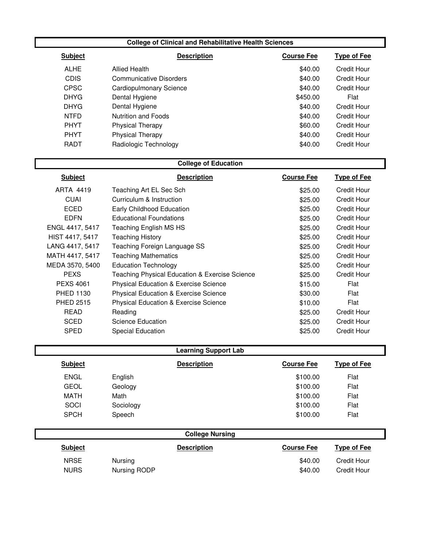#### **College of Clinical and Rehabilitative Health Sciences**

| <b>Subject</b> | <b>Description</b>             | <b>Course Fee</b> | <b>Type of Fee</b> |
|----------------|--------------------------------|-------------------|--------------------|
| <b>ALHE</b>    | Allied Health                  | \$40.00           | Credit Hour        |
| <b>CDIS</b>    | <b>Communicative Disorders</b> | \$40.00           | Credit Hour        |
| <b>CPSC</b>    | <b>Cardiopulmonary Science</b> | \$40.00           | Credit Hour        |
| <b>DHYG</b>    | Dental Hygiene                 | \$450.00          | Flat               |
| <b>DHYG</b>    | Dental Hygiene                 | \$40.00           | Credit Hour        |
| <b>NTFD</b>    | Nutrition and Foods            | \$40.00           | Credit Hour        |
| <b>PHYT</b>    | <b>Physical Therapy</b>        | \$60.00           | <b>Credit Hour</b> |
| <b>PHYT</b>    | <b>Physical Therapy</b>        | \$40.00           | Credit Hour        |
| RADT           | Radiologic Technology          | \$40.00           | Credit Hour        |

### **College of Education**

| <b>Subject</b>   | <b>Description</b>                               | <b>Course Fee</b> | <b>Type of Fee</b> |
|------------------|--------------------------------------------------|-------------------|--------------------|
| ARTA 4419        | Teaching Art EL Sec Sch                          | \$25.00           | Credit Hour        |
| <b>CUAI</b>      | Curriculum & Instruction                         | \$25.00           | Credit Hour        |
| ECED             | Early Childhood Education                        | \$25.00           | <b>Credit Hour</b> |
| <b>EDFN</b>      | <b>Educational Foundations</b>                   | \$25.00           | <b>Credit Hour</b> |
| ENGL 4417, 5417  | Teaching English MS HS                           | \$25.00           | <b>Credit Hour</b> |
| HIST 4417, 5417  | <b>Teaching History</b>                          | \$25.00           | <b>Credit Hour</b> |
| LANG 4417, 5417  | Teaching Foreign Language SS                     | \$25.00           | <b>Credit Hour</b> |
| MATH 4417, 5417  | <b>Teaching Mathematics</b>                      | \$25.00           | <b>Credit Hour</b> |
| MEDA 3570, 5400  | <b>Education Technology</b>                      | \$25.00           | <b>Credit Hour</b> |
| <b>PEXS</b>      | Teaching Physical Education & Exercise Science   | \$25.00           | <b>Credit Hour</b> |
| <b>PEXS 4061</b> | <b>Physical Education &amp; Exercise Science</b> | \$15.00           | Flat               |
| <b>PHED 1130</b> | <b>Physical Education &amp; Exercise Science</b> | \$30.00           | Flat               |
| PHED 2515        | <b>Physical Education &amp; Exercise Science</b> | \$10.00           | Flat               |
| <b>READ</b>      | Reading                                          | \$25.00           | <b>Credit Hour</b> |
| <b>SCED</b>      | Science Education                                | \$25.00           | Credit Hour        |
| <b>SPED</b>      | <b>Special Education</b>                         | \$25.00           | <b>Credit Hour</b> |

| <b>Learning Support Lab</b> |              |                        |                   |                    |  |
|-----------------------------|--------------|------------------------|-------------------|--------------------|--|
| <b>Subject</b>              |              | <b>Description</b>     | <b>Course Fee</b> | <b>Type of Fee</b> |  |
| <b>ENGL</b>                 | English      |                        | \$100.00          | Flat               |  |
| <b>GEOL</b>                 | Geology      |                        | \$100.00          | Flat               |  |
| <b>MATH</b>                 | Math         |                        | \$100.00          | Flat               |  |
| SOCI                        | Sociology    |                        | \$100.00          | Flat               |  |
| <b>SPCH</b>                 | Speech       |                        | \$100.00          | Flat               |  |
|                             |              | <b>College Nursing</b> |                   |                    |  |
| <b>Subject</b>              |              | <b>Description</b>     | <b>Course Fee</b> | <b>Type of Fee</b> |  |
| <b>NRSE</b>                 | Nursing      |                        | \$40.00           | Credit Hour        |  |
| <b>NURS</b>                 | Nursing RODP |                        | \$40.00           | <b>Credit Hour</b> |  |